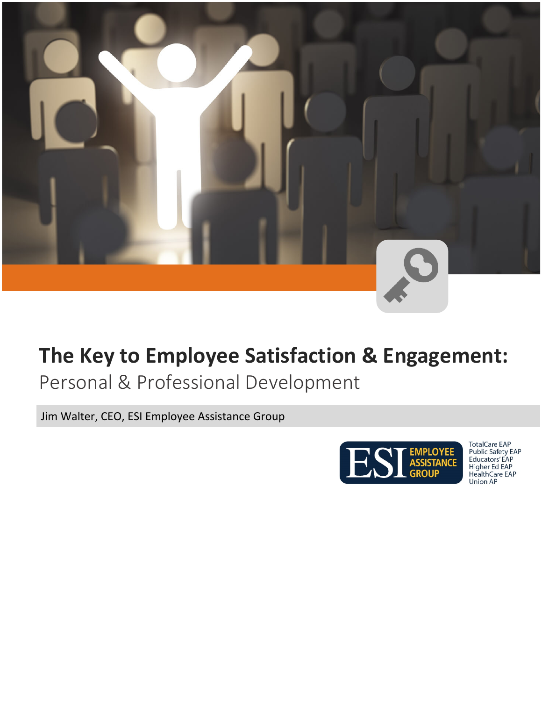

## **The Key to Employee Satisfaction & Engagement:**

Personal & Professional Development

Jim Walter, CEO, ESI Employee Assistance Group



TotalCare EAP<br>Public Safety EAP<br>Educators' EAP<br>Higher Ed EAP<br>Health Care EAP **Union AP**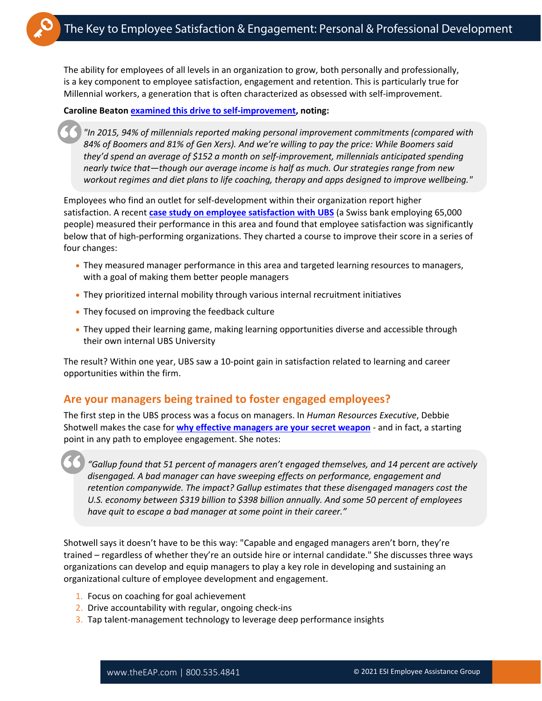The ability for employees of all levels in an organization to grow, both personally and professionally, is a key component to employee satisfaction, engagement and retention. This is particularly true for Millennial workers, a generation that is often characterized as obsessed with self-improvement.

## **Caroline Beaton [examined this drive to self-improvement,](https://www.forbes.com/sites/carolinebeaton/2016/02/25/never-good-enough-why-millennials-are-obsessed-with-self-improvement/#b76ed57efa9c) noting:**

*"In 2015, 94% of millennials reported making personal improvement commitments (compared with 84% of Boomers and 81% of Gen Xers). And we're willing to pay the price: While Boomers said they'd spend an average of \$152 a month on self-improvement, millennials anticipated spending nearly twice that—though our average income is half as much. Our strategies range from new workout regimes and diet plans to life coaching, therapy and apps designed to improve wellbeing."*

Employees who find an outlet for self-development within their organization report higher satisfaction. A recent **[case study on employee satisfaction with UBS](https://www.fastcompany.com/90348603/ubs-found-the-key-to-employee-satisfaction)** (a Swiss bank employing 65,000 people) measured their performance in this area and found that employee satisfaction was significantly below that of high-performing organizations. They charted a course to improve their score in a series of four changes:

- They measured manager performance in this area and targeted learning resources to managers, with a goal of making them better people managers
- They prioritized internal mobility through various internal recruitment initiatives
- They focused on improving the feedback culture
- They upped their learning game, making learning opportunities diverse and accessible through their own internal UBS University

The result? Within one year, UBS saw a 10-point gain in satisfaction related to learning and career opportunities within the firm.

## **Are your managers being trained to foster engaged employees?**

The first step in the UBS process was a focus on managers. In *Human Resources Executive*, Debbie Shotwell makes the case for **[why effective managers are your secret weapon](http://hrexecutive.com/heres-why-effective-managers-are-your-secret-weapon/)** - and in fact, a starting point in any path to employee engagement. She notes:

*"Gallup found that 51 percent of managers aren't engaged themselves, and 14 percent are actively disengaged. A bad manager can have sweeping effects on performance, engagement and retention companywide. The impact? Gallup estimates that these disengaged managers cost the U.S. economy between \$319 billion to \$398 billion annually. And some 50 percent of employees have quit to escape a bad manager at some point in their career."*

Shotwell says it doesn't have to be this way: "Capable and engaged managers aren't born, they're trained – regardless of whether they're an outside hire or internal candidate." She discusses three ways organizations can develop and equip managers to play a key role in developing and sustaining an organizational culture of employee development and engagement.

- 1. Focus on coaching for goal achievement
- 2. Drive accountability with regular, ongoing check-ins
- 3. Tap talent-management technology to leverage deep performance insights